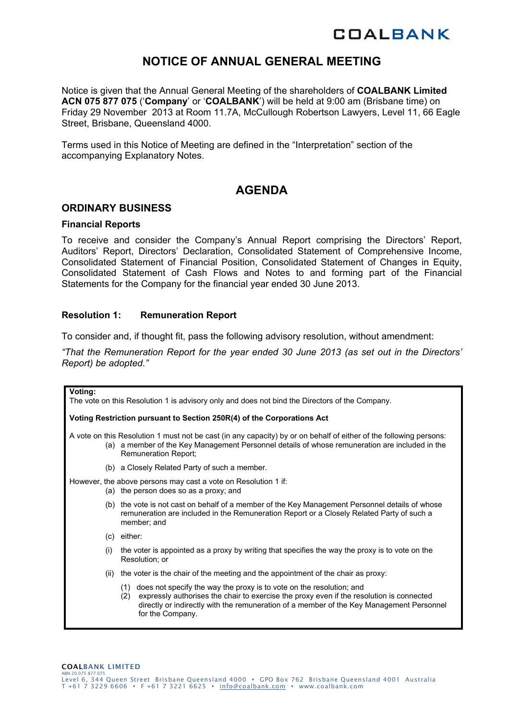# **COALBANK**

# **NOTICE OF ANNUAL GENERAL MEETING**

Notice is given that the Annual General Meeting of the shareholders of **COALBANK Limited ACN 075 877 075** ('**Company**' or '**COALBANK**') will be held at 9:00 am (Brisbane time) on Friday 29 November 2013 at Room 11.7A, McCullough Robertson Lawyers, Level 11, 66 Eagle Street, Brisbane, Queensland 4000.

Terms used in this Notice of Meeting are defined in the "Interpretation" section of the accompanying Explanatory Notes.

# **AGENDA**

## **ORDINARY BUSINESS**

#### **Financial Reports**

To receive and consider the Company's Annual Report comprising the Directors' Report, Auditors' Report, Directors' Declaration, Consolidated Statement of Comprehensive Income, Consolidated Statement of Financial Position, Consolidated Statement of Changes in Equity, Consolidated Statement of Cash Flows and Notes to and forming part of the Financial Statements for the Company for the financial year ended 30 June 2013.

#### **Resolution 1: Remuneration Report**

To consider and, if thought fit, pass the following advisory resolution, without amendment:

*"That the Remuneration Report for the year ended 30 June 2013 (as set out in the Directors' Report) be adopted."*

| Voting:                                                                                        |                                                                                                                                                                                                                                                                                                |  |  |  |  |  |
|------------------------------------------------------------------------------------------------|------------------------------------------------------------------------------------------------------------------------------------------------------------------------------------------------------------------------------------------------------------------------------------------------|--|--|--|--|--|
| The vote on this Resolution 1 is advisory only and does not bind the Directors of the Company. |                                                                                                                                                                                                                                                                                                |  |  |  |  |  |
|                                                                                                | Voting Restriction pursuant to Section 250R(4) of the Corporations Act                                                                                                                                                                                                                         |  |  |  |  |  |
|                                                                                                | A vote on this Resolution 1 must not be cast (in any capacity) by or on behalf of either of the following persons:<br>(a) a member of the Key Management Personnel details of whose remuneration are included in the<br>Remuneration Report;                                                   |  |  |  |  |  |
|                                                                                                | (b) a Closely Related Party of such a member.                                                                                                                                                                                                                                                  |  |  |  |  |  |
|                                                                                                | However, the above persons may cast a vote on Resolution 1 if:<br>(a) the person does so as a proxy; and                                                                                                                                                                                       |  |  |  |  |  |
|                                                                                                | (b) the vote is not cast on behalf of a member of the Key Management Personnel details of whose<br>remuneration are included in the Remuneration Report or a Closely Related Party of such a<br>member; and                                                                                    |  |  |  |  |  |
|                                                                                                | $(c)$ either:                                                                                                                                                                                                                                                                                  |  |  |  |  |  |
| (i)                                                                                            | the voter is appointed as a proxy by writing that specifies the way the proxy is to vote on the<br>Resolution; or                                                                                                                                                                              |  |  |  |  |  |
| (ii)                                                                                           | the voter is the chair of the meeting and the appointment of the chair as proxy:                                                                                                                                                                                                               |  |  |  |  |  |
|                                                                                                | does not specify the way the proxy is to vote on the resolution; and<br>(1)<br>expressly authorises the chair to exercise the proxy even if the resolution is connected<br>(2)<br>directly or indirectly with the remuneration of a member of the Key Management Personnel<br>for the Company. |  |  |  |  |  |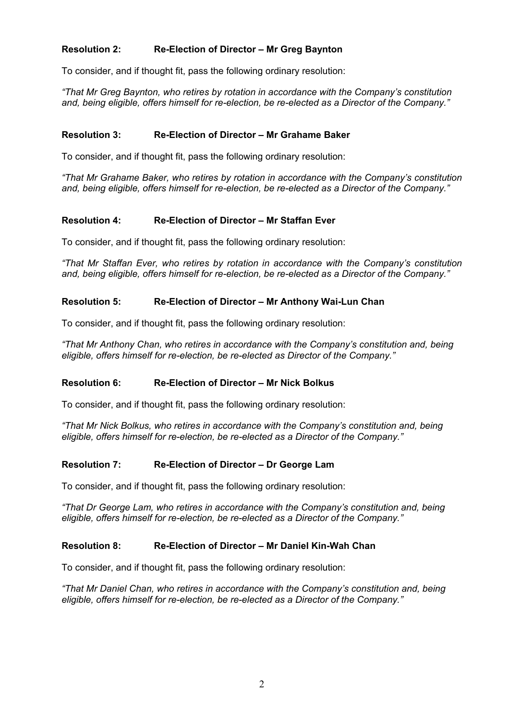## **Resolution 2: Re-Election of Director – Mr Greg Baynton**

To consider, and if thought fit, pass the following ordinary resolution:

*"That Mr Greg Baynton, who retires by rotation in accordance with the Company's constitution and, being eligible, offers himself for re-election, be re-elected as a Director of the Company."*

#### **Resolution 3: Re-Election of Director – Mr Grahame Baker**

To consider, and if thought fit, pass the following ordinary resolution:

*"That Mr Grahame Baker, who retires by rotation in accordance with the Company's constitution and, being eligible, offers himself for re-election, be re-elected as a Director of the Company."* 

## **Resolution 4: Re-Election of Director – Mr Staffan Ever**

To consider, and if thought fit, pass the following ordinary resolution:

*"That Mr Staffan Ever, who retires by rotation in accordance with the Company's constitution and, being eligible, offers himself for re-election, be re-elected as a Director of the Company."*

## **Resolution 5: Re-Election of Director – Mr Anthony Wai-Lun Chan**

To consider, and if thought fit, pass the following ordinary resolution:

*"That Mr Anthony Chan, who retires in accordance with the Company's constitution and, being eligible, offers himself for re-election, be re-elected as Director of the Company."* 

#### **Resolution 6: Re-Election of Director – Mr Nick Bolkus**

To consider, and if thought fit, pass the following ordinary resolution:

*"That Mr Nick Bolkus, who retires in accordance with the Company's constitution and, being eligible, offers himself for re-election, be re-elected as a Director of the Company."* 

#### **Resolution 7: Re-Election of Director – Dr George Lam**

To consider, and if thought fit, pass the following ordinary resolution:

*"That Dr George Lam, who retires in accordance with the Company's constitution and, being eligible, offers himself for re-election, be re-elected as a Director of the Company."* 

#### **Resolution 8: Re-Election of Director – Mr Daniel Kin-Wah Chan**

To consider, and if thought fit, pass the following ordinary resolution:

*"That Mr Daniel Chan, who retires in accordance with the Company's constitution and, being eligible, offers himself for re-election, be re-elected as a Director of the Company."*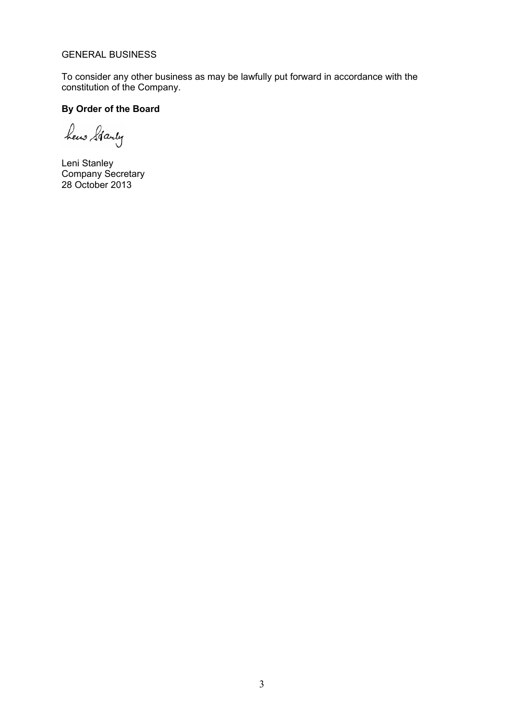#### GENERAL BUSINESS

To consider any other business as may be lawfully put forward in accordance with the constitution of the Company.

# **By Order of the Board**

hew Starty

Leni Stanley Company Secretary 28 October 2013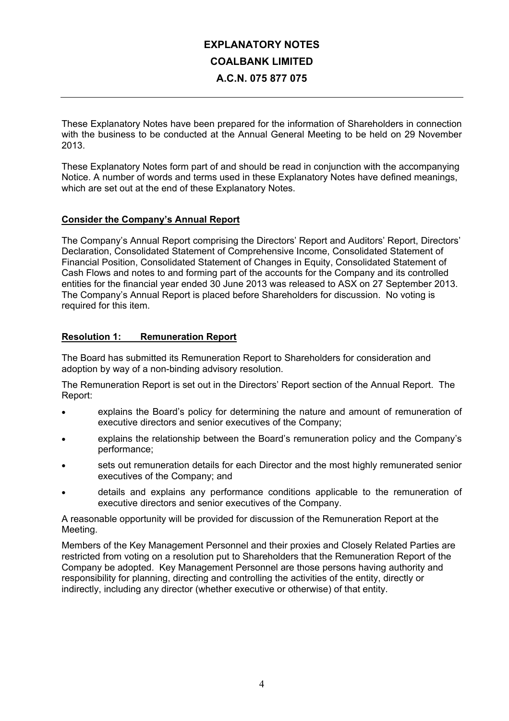# **EXPLANATORY NOTES COALBANK LIMITED A.C.N. 075 877 075**

These Explanatory Notes have been prepared for the information of Shareholders in connection with the business to be conducted at the Annual General Meeting to be held on 29 November 2013.

These Explanatory Notes form part of and should be read in conjunction with the accompanying Notice. A number of words and terms used in these Explanatory Notes have defined meanings, which are set out at the end of these Explanatory Notes.

#### **Consider the Company's Annual Report**

The Company's Annual Report comprising the Directors' Report and Auditors' Report, Directors' Declaration, Consolidated Statement of Comprehensive Income, Consolidated Statement of Financial Position, Consolidated Statement of Changes in Equity, Consolidated Statement of Cash Flows and notes to and forming part of the accounts for the Company and its controlled entities for the financial year ended 30 June 2013 was released to ASX on 27 September 2013. The Company's Annual Report is placed before Shareholders for discussion. No voting is required for this item.

## **Resolution 1: Remuneration Report**

The Board has submitted its Remuneration Report to Shareholders for consideration and adoption by way of a non-binding advisory resolution.

The Remuneration Report is set out in the Directors' Report section of the Annual Report. The Report:

- explains the Board's policy for determining the nature and amount of remuneration of executive directors and senior executives of the Company;
- explains the relationship between the Board's remuneration policy and the Company's performance;
- sets out remuneration details for each Director and the most highly remunerated senior executives of the Company; and
- details and explains any performance conditions applicable to the remuneration of executive directors and senior executives of the Company.

A reasonable opportunity will be provided for discussion of the Remuneration Report at the Meeting.

Members of the Key Management Personnel and their proxies and Closely Related Parties are restricted from voting on a resolution put to Shareholders that the Remuneration Report of the Company be adopted. Key Management Personnel are those persons having authority and responsibility for planning, directing and controlling the activities of the entity, directly or indirectly, including any director (whether executive or otherwise) of that entity.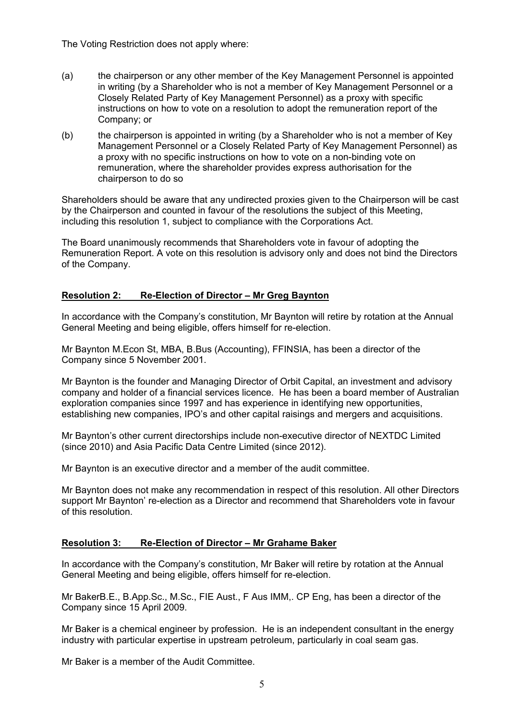The Voting Restriction does not apply where:

- (a) the chairperson or any other member of the Key Management Personnel is appointed in writing (by a Shareholder who is not a member of Key Management Personnel or a Closely Related Party of Key Management Personnel) as a proxy with specific instructions on how to vote on a resolution to adopt the remuneration report of the Company; or
- (b) the chairperson is appointed in writing (by a Shareholder who is not a member of Key Management Personnel or a Closely Related Party of Key Management Personnel) as a proxy with no specific instructions on how to vote on a non-binding vote on remuneration, where the shareholder provides express authorisation for the chairperson to do so

Shareholders should be aware that any undirected proxies given to the Chairperson will be cast by the Chairperson and counted in favour of the resolutions the subject of this Meeting, including this resolution 1, subject to compliance with the Corporations Act.

The Board unanimously recommends that Shareholders vote in favour of adopting the Remuneration Report. A vote on this resolution is advisory only and does not bind the Directors of the Company.

## **Resolution 2: Re-Election of Director – Mr Greg Baynton**

In accordance with the Company's constitution, Mr Baynton will retire by rotation at the Annual General Meeting and being eligible, offers himself for re-election.

Mr Baynton M.Econ St, MBA, B.Bus (Accounting), FFINSIA, has been a director of the Company since 5 November 2001.

Mr Baynton is the founder and Managing Director of Orbit Capital, an investment and advisory company and holder of a financial services licence. He has been a board member of Australian exploration companies since 1997 and has experience in identifying new opportunities, establishing new companies, IPO's and other capital raisings and mergers and acquisitions.

Mr Baynton's other current directorships include non-executive director of NEXTDC Limited (since 2010) and Asia Pacific Data Centre Limited (since 2012).

Mr Baynton is an executive director and a member of the audit committee.

Mr Baynton does not make any recommendation in respect of this resolution. All other Directors support Mr Baynton' re-election as a Director and recommend that Shareholders vote in favour of this resolution.

#### **Resolution 3: Re-Election of Director – Mr Grahame Baker**

In accordance with the Company's constitution, Mr Baker will retire by rotation at the Annual General Meeting and being eligible, offers himself for re-election.

Mr BakerB.E., B.App.Sc., M.Sc., FIE Aust., F Aus IMM,. CP Eng, has been a director of the Company since 15 April 2009.

Mr Baker is a chemical engineer by profession. He is an independent consultant in the energy industry with particular expertise in upstream petroleum, particularly in coal seam gas.

Mr Baker is a member of the Audit Committee.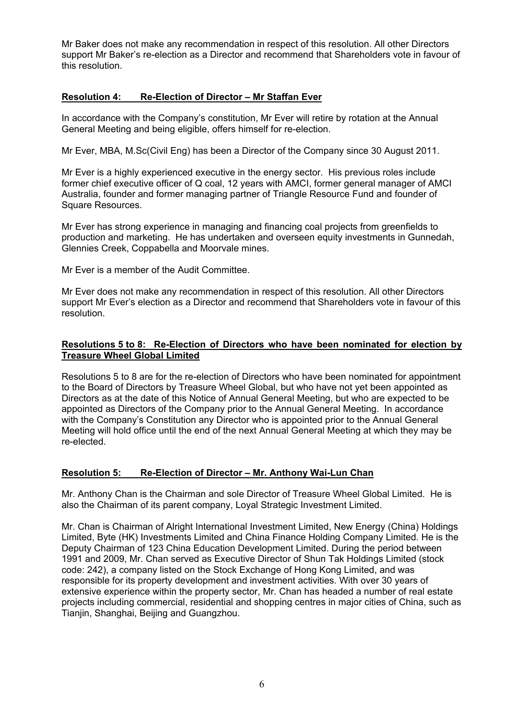Mr Baker does not make any recommendation in respect of this resolution. All other Directors support Mr Baker's re-election as a Director and recommend that Shareholders vote in favour of this resolution.

## **Resolution 4: Re-Election of Director – Mr Staffan Ever**

In accordance with the Company's constitution, Mr Ever will retire by rotation at the Annual General Meeting and being eligible, offers himself for re-election.

Mr Ever, MBA, M.Sc(Civil Eng) has been a Director of the Company since 30 August 2011.

Mr Ever is a highly experienced executive in the energy sector. His previous roles include former chief executive officer of Q coal, 12 years with AMCI, former general manager of AMCI Australia, founder and former managing partner of Triangle Resource Fund and founder of Square Resources.

Mr Ever has strong experience in managing and financing coal projects from greenfields to production and marketing. He has undertaken and overseen equity investments in Gunnedah, Glennies Creek, Coppabella and Moorvale mines.

Mr Ever is a member of the Audit Committee.

Mr Ever does not make any recommendation in respect of this resolution. All other Directors support Mr Ever's election as a Director and recommend that Shareholders vote in favour of this resolution.

#### **Resolutions 5 to 8: Re-Election of Directors who have been nominated for election by Treasure Wheel Global Limited**

Resolutions 5 to 8 are for the re-election of Directors who have been nominated for appointment to the Board of Directors by Treasure Wheel Global, but who have not yet been appointed as Directors as at the date of this Notice of Annual General Meeting, but who are expected to be appointed as Directors of the Company prior to the Annual General Meeting. In accordance with the Company's Constitution any Director who is appointed prior to the Annual General Meeting will hold office until the end of the next Annual General Meeting at which they may be re-elected.

#### **Resolution 5: Re-Election of Director – Mr. Anthony Wai-Lun Chan**

Mr. Anthony Chan is the Chairman and sole Director of Treasure Wheel Global Limited. He is also the Chairman of its parent company, Loyal Strategic Investment Limited.

Mr. Chan is Chairman of Alright International Investment Limited, New Energy (China) Holdings Limited, Byte (HK) Investments Limited and China Finance Holding Company Limited. He is the Deputy Chairman of 123 China Education Development Limited. During the period between 1991 and 2009, Mr. Chan served as Executive Director of Shun Tak Holdings Limited (stock code: 242), a company listed on the Stock Exchange of Hong Kong Limited, and was responsible for its property development and investment activities. With over 30 years of extensive experience within the property sector, Mr. Chan has headed a number of real estate projects including commercial, residential and shopping centres in major cities of China, such as Tianjin, Shanghai, Beijing and Guangzhou.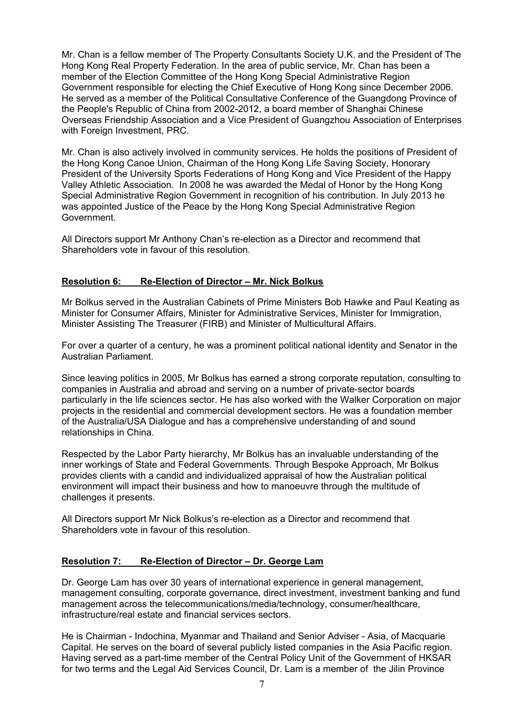Mr. Chan is a fellow member of The Property Consultants Society U.K. and the President of The Hong Kong Real Property Federation. In the area of public service, Mr. Chan has been a member of the Election Committee of the Hong Kong Special Administrative Region Government responsible for electing the Chief Executive of Hong Kong since December 2006. He served as a member of the Political Consultative Conference of the Guangdong Province of the People's Republic of China from 2002-2012, a board member of Shanghai Chinese Overseas Friendship Association and a Vice President of Guangzhou Association of Enterprises with Foreign Investment, PRC.

Mr. Chan is also actively involved in community services. He holds the positions of President of the Hong Kong Canoe Union, Chairman of the Hong Kong Life Saving Society, Honorary President of the University Sports Federations of Hong Kong and Vice President of the Happy Valley Athletic Association. In 2008 he was awarded the Medal of Honor by the Hong Kong Special Administrative Region Government in recognition of his contribution. In July 2013 he was appointed Justice of the Peace by the Hong Kong Special Administrative Region Government.

All Directors support Mr Anthony Chan's re-election as a Director and recommend that Shareholders vote in favour of this resolution.

## **Resolution 6: Re-Election of Director – Mr. Nick Bolkus**

Mr Bolkus served in the Australian Cabinets of Prime Ministers Bob Hawke and Paul Keating as Minister for Consumer Affairs, Minister for Administrative Services, Minister for Immigration, Minister Assisting The Treasurer (FIRB) and Minister of Multicultural Affairs.

For over a quarter of a century, he was a prominent political national identity and Senator in the Australian Parliament.

Since leaving politics in 2005, Mr Bolkus has earned a strong corporate reputation, consulting to companies in Australia and abroad and serving on a number of private-sector boards particularly in the life sciences sector. He has also worked with the Walker Corporation on major projects in the residential and commercial development sectors. He was a foundation member of the Australia/USA Dialogue and has a comprehensive understanding of and sound relationships in China.

Respected by the Labor Party hierarchy, Mr Bolkus has an invaluable understanding of the inner workings of State and Federal Governments. Through Bespoke Approach, Mr Bolkus provides clients with a candid and individualized appraisal of how the Australian political environment will impact their business and how to manoeuvre through the multitude of challenges it presents.

All Directors support Mr Nick Bolkus's re-election as a Director and recommend that Shareholders vote in favour of this resolution.

# **Resolution 7: Re-Election of Director – Dr. George Lam**

Dr. George Lam has over 30 years of international experience in general management, management consulting, corporate governance, direct investment, investment banking and fund management across the telecommunications/media/technology, consumer/healthcare, infrastructure/real estate and financial services sectors.

He is Chairman - Indochina, Myanmar and Thailand and Senior Adviser - Asia, of Macquarie Capital. He serves on the board of several publicly listed companies in the Asia Pacific region. Having served as a part-time member of the Central Policy Unit of the Government of HKSAR for two terms and the Legal Aid Services Council, Dr. Lam is a member of the Jilin Province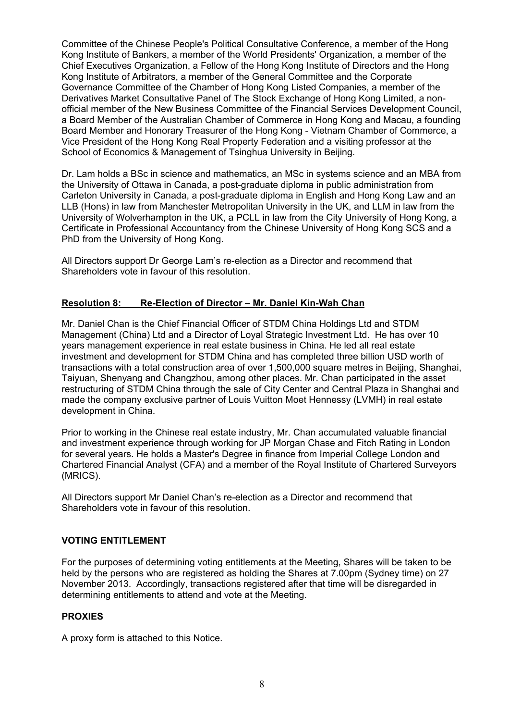Committee of the Chinese People's Political Consultative Conference, a member of the Hong Kong Institute of Bankers, a member of the World Presidents' Organization, a member of the Chief Executives Organization, a Fellow of the Hong Kong Institute of Directors and the Hong Kong Institute of Arbitrators, a member of the General Committee and the Corporate Governance Committee of the Chamber of Hong Kong Listed Companies, a member of the Derivatives Market Consultative Panel of The Stock Exchange of Hong Kong Limited, a nonofficial member of the New Business Committee of the Financial Services Development Council, a Board Member of the Australian Chamber of Commerce in Hong Kong and Macau, a founding Board Member and Honorary Treasurer of the Hong Kong - Vietnam Chamber of Commerce, a Vice President of the Hong Kong Real Property Federation and a visiting professor at the School of Economics & Management of Tsinghua University in Beijing.

Dr. Lam holds a BSc in science and mathematics, an MSc in systems science and an MBA from the University of Ottawa in Canada, a post-graduate diploma in public administration from Carleton University in Canada, a post-graduate diploma in English and Hong Kong Law and an LLB (Hons) in law from Manchester Metropolitan University in the UK, and LLM in law from the University of Wolverhampton in the UK, a PCLL in law from the City University of Hong Kong, a Certificate in Professional Accountancy from the Chinese University of Hong Kong SCS and a PhD from the University of Hong Kong.

All Directors support Dr George Lam's re-election as a Director and recommend that Shareholders vote in favour of this resolution.

## **Resolution 8: Re-Election of Director – Mr. Daniel Kin-Wah Chan**

Mr. Daniel Chan is the Chief Financial Officer of STDM China Holdings Ltd and STDM Management (China) Ltd and a Director of Loyal Strategic Investment Ltd. He has over 10 years management experience in real estate business in China. He led all real estate investment and development for STDM China and has completed three billion USD worth of transactions with a total construction area of over 1,500,000 square metres in Beijing, Shanghai, Taiyuan, Shenyang and Changzhou, among other places. Mr. Chan participated in the asset restructuring of STDM China through the sale of City Center and Central Plaza in Shanghai and made the company exclusive partner of Louis Vuitton Moet Hennessy (LVMH) in real estate development in China.

Prior to working in the Chinese real estate industry, Mr. Chan accumulated valuable financial and investment experience through working for JP Morgan Chase and Fitch Rating in London for several years. He holds a Master's Degree in finance from Imperial College London and Chartered Financial Analyst (CFA) and a member of the Royal Institute of Chartered Surveyors (MRICS).

All Directors support Mr Daniel Chan's re-election as a Director and recommend that Shareholders vote in favour of this resolution.

#### **VOTING ENTITLEMENT**

For the purposes of determining voting entitlements at the Meeting, Shares will be taken to be held by the persons who are registered as holding the Shares at 7.00pm (Sydney time) on 27 November 2013. Accordingly, transactions registered after that time will be disregarded in determining entitlements to attend and vote at the Meeting.

#### **PROXIES**

A proxy form is attached to this Notice.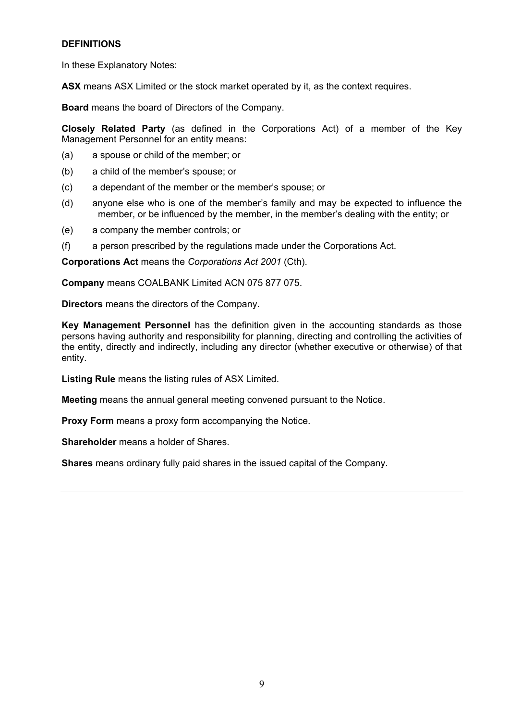# **DEFINITIONS**

In these Explanatory Notes:

**ASX** means ASX Limited or the stock market operated by it, as the context requires.

**Board** means the board of Directors of the Company.

**Closely Related Party** (as defined in the Corporations Act) of a member of the Key Management Personnel for an entity means:

- (a) a spouse or child of the member; or
- (b) a child of the member's spouse; or
- (c) a dependant of the member or the member's spouse; or
- (d) anyone else who is one of the member's family and may be expected to influence the member, or be influenced by the member, in the member's dealing with the entity; or
- (e) a company the member controls; or
- (f) a person prescribed by the regulations made under the Corporations Act.

**Corporations Act** means the *Corporations Act 2001* (Cth).

**Company** means COALBANK Limited ACN 075 877 075.

**Directors** means the directors of the Company.

**Key Management Personnel** has the definition given in the accounting standards as those persons having authority and responsibility for planning, directing and controlling the activities of the entity, directly and indirectly, including any director (whether executive or otherwise) of that entity.

**Listing Rule** means the listing rules of ASX Limited.

**Meeting** means the annual general meeting convened pursuant to the Notice.

**Proxy Form** means a proxy form accompanying the Notice.

**Shareholder** means a holder of Shares.

**Shares** means ordinary fully paid shares in the issued capital of the Company.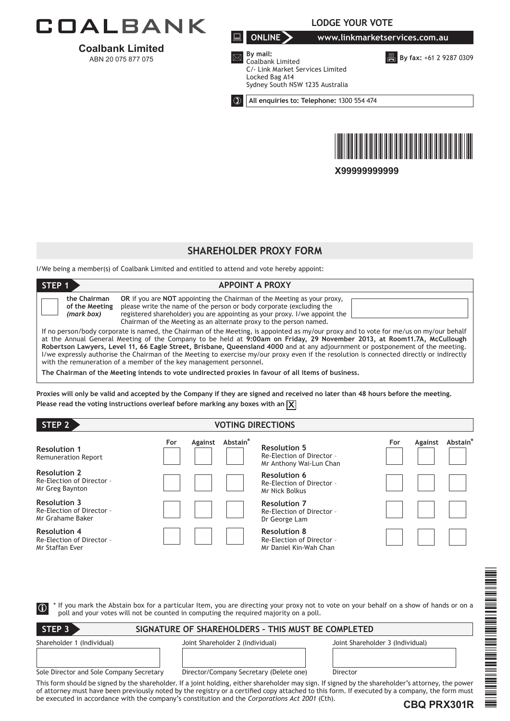

**Coalbank Limited**  ABN 20 075 877 075

**LODGE YOUR VOTE**

**ONLINE www.linkmarketservices.com.au**

**B** By fax: +61 2 9287 0309



**By mail:**

Coalbank Limited

Locked Bag A14

Sydney South NSW 1235 Australia

**All enquiries to: Telephone:** 1300 554 474

C/- Link Market Services Limited



**X99999999999**

# **SHAREHOLDER PROXY FORM**

I/We being a member(s) of Coalbank Limited and entitled to attend and vote hereby appoint:

| STEP <sub>1</sub>                            | <b>APPOINT A PROXY</b>                                                                                                                                                                                                                                                                                                                                                                                                                                                                                                                                                                                                                                                                                                      |  |
|----------------------------------------------|-----------------------------------------------------------------------------------------------------------------------------------------------------------------------------------------------------------------------------------------------------------------------------------------------------------------------------------------------------------------------------------------------------------------------------------------------------------------------------------------------------------------------------------------------------------------------------------------------------------------------------------------------------------------------------------------------------------------------------|--|
| the Chairman<br>of the Meeting<br>(mark box) | <b>OR</b> if you are <b>NOT</b> appointing the Chairman of the Meeting as your proxy,<br>please write the name of the person or body corporate (excluding the<br>registered shareholder) you are appointing as your proxy. I/we appoint the<br>Chairman of the Meeting as an alternate proxy to the person named.                                                                                                                                                                                                                                                                                                                                                                                                           |  |
|                                              | If no person/body corporate is named, the Chairman of the Meeting, is appointed as my/our proxy and to vote for me/us on my/our behalf<br>at the Annual General Meeting of the Company to be held at 9:00am on Friday, 29 November 2013, at Room11.7A, McCullough<br>Robertson Lawyers, Level 11, 66 Eagle Street, Brisbane, Queensland 4000 and at any adjournment or postponement of the meeting.<br>I/we expressly authorise the Chairman of the Meeting to exercise my/our proxy even if the resolution is connected directly or indirectly<br>with the remuneration of a member of the key management personnel.<br>The Chairman of the Meeting intends to vote undirected proxies in favour of all items of business, |  |

**Proxies will only be valid and accepted by the Company if they are signed and received no later than 48 hours before the meeting. Please read the voting instructions overleaf before marking any boxes with an**  $\boxed{\mathbf{X}}$ 

| STEP 2                                                               |     | <b>VOTING DIRECTIONS</b> |                      |                                                                             |     |         |                      |
|----------------------------------------------------------------------|-----|--------------------------|----------------------|-----------------------------------------------------------------------------|-----|---------|----------------------|
| <b>Resolution 1</b><br><b>Remuneration Report</b>                    | For | Against                  | Abstain <sup>*</sup> | <b>Resolution 5</b><br>Re-Election of Director -<br>Mr Anthony Wai-Lun Chan | For | Against | Abstain <sup>*</sup> |
| <b>Resolution 2</b><br>Re-Election of Director -<br>Mr Greg Baynton  |     |                          |                      | <b>Resolution 6</b><br>Re-Election of Director -<br>Mr Nick Bolkus          |     |         |                      |
| <b>Resolution 3</b><br>Re-Election of Director -<br>Mr Grahame Baker |     |                          |                      | <b>Resolution 7</b><br>Re-Election of Director -<br>Dr George Lam           |     |         |                      |
| <b>Resolution 4</b><br>Re-Election of Director -<br>Mr Staffan Ever  |     |                          |                      | <b>Resolution 8</b><br>Re-Election of Director -<br>Mr Daniel Kin-Wah Chan  |     |         |                      |

|                                          |                                                                                                | <b>THE REAL PROPERTY</b>                                                                                                                                                                                                                                                                             |
|------------------------------------------|------------------------------------------------------------------------------------------------|------------------------------------------------------------------------------------------------------------------------------------------------------------------------------------------------------------------------------------------------------------------------------------------------------|
|                                          |                                                                                                |                                                                                                                                                                                                                                                                                                      |
| $\boxed{0}$                              | poll and your votes will not be counted in computing the required majority on a poll.          | * If you mark the Abstain box for a particular Item, you are directing your proxy not to vote on your behalf on a show of hands or on a                                                                                                                                                              |
|                                          |                                                                                                |                                                                                                                                                                                                                                                                                                      |
| STEP <sub>3</sub>                        | SIGNATURE OF SHAREHOLDERS - THIS MUST BE COMPLETED                                             |                                                                                                                                                                                                                                                                                                      |
| Shareholder 1 (Individual)               | Joint Shareholder 2 (Individual)                                                               | Joint Shareholder 3 (Individual)                                                                                                                                                                                                                                                                     |
|                                          |                                                                                                |                                                                                                                                                                                                                                                                                                      |
|                                          |                                                                                                |                                                                                                                                                                                                                                                                                                      |
| Sole Director and Sole Company Secretary | Director/Company Secretary (Delete one)                                                        | Director                                                                                                                                                                                                                                                                                             |
|                                          |                                                                                                | This form should be signed by the shareholder. If a joint holding, either shareholder may sign. If signed by the shareholder's attorney, the power<br>of attorney must have been previously noted by the registry or a certified copy attached to this form. If executed by a company, the form must |
|                                          | be executed in accordance with the company's constitution and the Corporations Act 2001 (Cth). | ≡                                                                                                                                                                                                                                                                                                    |
|                                          |                                                                                                | CBO PRX301R                                                                                                                                                                                                                                                                                          |